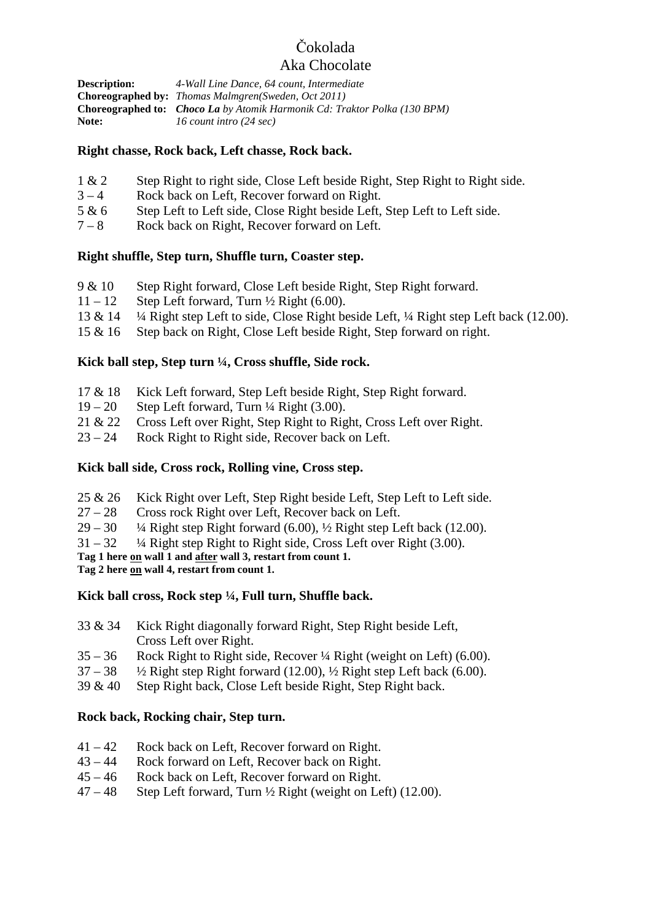# Čokolada

# Aka Chocolate

| <b>Description:</b> | 4-Wall Line Dance, 64 count, Intermediate                                        |
|---------------------|----------------------------------------------------------------------------------|
|                     | <b>Choreographed by:</b> <i>Thomas Malmgren(Sweden, Oct 2011)</i>                |
|                     | <b>Choreographed to:</b> Choco La by Atomik Harmonik Cd: Traktor Polka (130 BPM) |
| Note:               | 16 count intro (24 sec)                                                          |

### **Right chasse, Rock back, Left chasse, Rock back.**

- 1 & 2 Step Right to right side, Close Left beside Right, Step Right to Right side.
- $3 4$  Rock back on Left, Recover forward on Right.
- 5 & 6 Step Left to Left side, Close Right beside Left, Step Left to Left side.
- 7 8 Rock back on Right, Recover forward on Left.

#### **Right shuffle, Step turn, Shuffle turn, Coaster step.**

- 9 & 10 Step Right forward, Close Left beside Right, Step Right forward.
- $11 12$  Step Left forward, Turn  $\frac{1}{2}$  Right (6.00).
- 13 & 14 ¼ Right step Left to side, Close Right beside Left, ¼ Right step Left back (12.00).
- 15 & 16 Step back on Right, Close Left beside Right, Step forward on right.

### **Kick ball step, Step turn ¼, Cross shuffle, Side rock.**

- 17 & 18 Kick Left forward, Step Left beside Right, Step Right forward.
- $19 20$  Step Left forward, Turn  $\frac{1}{4}$  Right (3.00).
- 21 & 22 Cross Left over Right, Step Right to Right, Cross Left over Right.
- 23 24 Rock Right to Right side, Recover back on Left.

### **Kick ball side, Cross rock, Rolling vine, Cross step.**

- 25 & 26 Kick Right over Left, Step Right beside Left, Step Left to Left side.
- 27 28 Cross rock Right over Left, Recover back on Left.
- $29 30$  <sup>4</sup>/4 Right step Right forward (6.00),  $\frac{1}{2}$  Right step Left back (12.00).
- $31 32$   $\frac{1}{4}$  Right step Right to Right side, Cross Left over Right (3.00).

**Tag 1 here on wall 1 and after wall 3, restart from count 1.** 

**Tag 2 here on wall 4, restart from count 1.** 

### **Kick ball cross, Rock step ¼, Full turn, Shuffle back.**

- 33 & 34 Kick Right diagonally forward Right, Step Right beside Left, Cross Left over Right.
- 35 36 Rock Right to Right side, Recover ¼ Right (weight on Left) (6.00).
- $37 38$   $\frac{1}{2}$  Right step Right forward (12.00),  $\frac{1}{2}$  Right step Left back (6.00).
- 39 & 40 Step Right back, Close Left beside Right, Step Right back.

#### **Rock back, Rocking chair, Step turn.**

- $41 42$  Rock back on Left, Recover forward on Right.<br> $43 44$  Rock forward on Left. Recover back on Right.
- Rock forward on Left, Recover back on Right.
- 45 46 Rock back on Left, Recover forward on Right.
- $47 48$  Step Left forward, Turn  $\frac{1}{2}$  Right (weight on Left) (12.00).